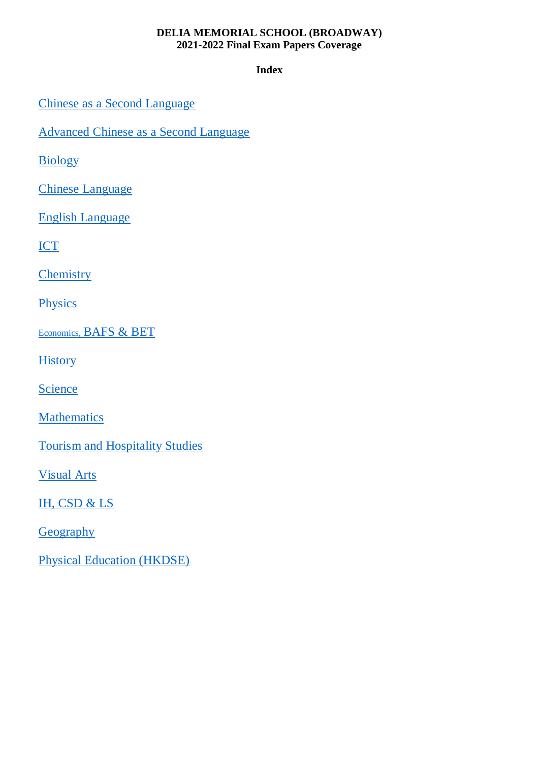**Index**

[Chinese as a Second Language](#page-1-0)

[Advanced Chinese as a Second Language](#page-3-0)

[Biology](#page-5-0)

[Chinese Language](#page-6-0)

[English Language](#page-7-0)

**[ICT](#page-9-0)** 

**[Chemistry](#page-10-0)** 

**[Physics](#page-12-0)** 

Economics, [BAFS & BET](#page-13-0)

**[History](#page-14-0)** 

**[Science](#page-15-0)** 

Mathematics

[Tourism and Hospitality Studies](#page-21-0)

[Visual Arts](#page-22-0)

IH, CSD & LS

**[Geography](#page-11-0)** 

[Physical Education \(HKDSE\)](#page-24-0)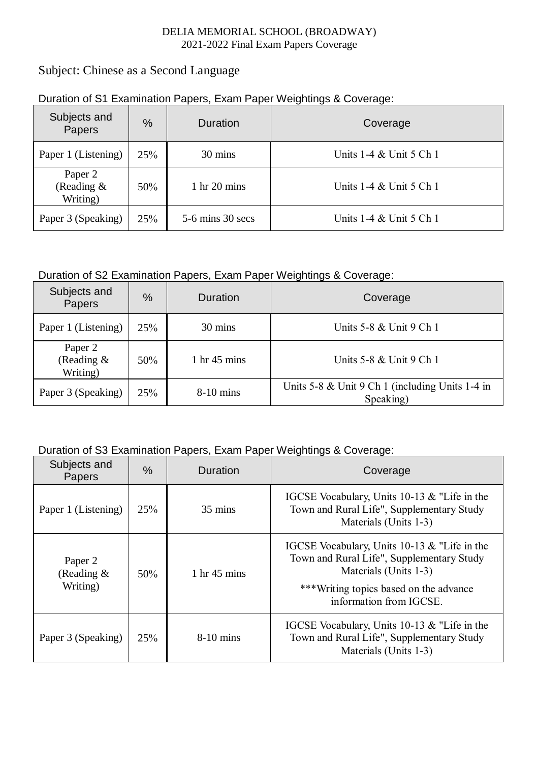## <span id="page-1-0"></span>Subject: Chinese as a Second Language

| Subjects and<br>Papers            | $\%$ | Duration                       | Coverage                  |
|-----------------------------------|------|--------------------------------|---------------------------|
| Paper 1 (Listening)               | 25%  | 30 mins                        | Units 1-4 & Unit 5 Ch 1   |
| Paper 2<br>(Reading &<br>Writing) | 50%  | $1 \text{ hr} 20 \text{ mins}$ | Units $1-4 &$ Unit 5 Ch 1 |
| Paper 3 (Speaking)                | 25%  | $5-6$ mins 30 secs             | Units 1-4 & Unit 5 Ch 1   |

### Duration of S1 Examination Papers, Exam Paper Weightings & Coverage:

## Duration of S2 Examination Papers, Exam Paper Weightings & Coverage:

| Subjects and<br>Papers            | $\frac{0}{0}$ | Duration                        | Coverage                                                     |
|-----------------------------------|---------------|---------------------------------|--------------------------------------------------------------|
| Paper 1 (Listening)               | 25%           | 30 mins                         | Units 5-8 & Unit 9 Ch 1                                      |
| Paper 2<br>(Reading &<br>Writing) | 50%           | $1 \text{ hr } 45 \text{ mins}$ | Units $5-8 \&$ Unit $9 \text{ Ch } 1$                        |
| Paper 3 (Speaking)                | 25%           | $8-10$ mins                     | Units 5-8 & Unit 9 Ch 1 (including Units 1-4 in<br>Speaking) |

| Subjects and<br><b>Papers</b>                   | $\%$ | <b>Duration</b>                 | Coverage                                                                                                                                                                                |
|-------------------------------------------------|------|---------------------------------|-----------------------------------------------------------------------------------------------------------------------------------------------------------------------------------------|
| Paper 1 (Listening)                             | 25%  | $35 \text{ mins}$               | IGCSE Vocabulary, Units 10-13 & "Life in the<br>Town and Rural Life", Supplementary Study<br>Materials (Units 1-3)                                                                      |
| Paper <sub>2</sub><br>(Reading $\&$<br>Writing) | 50%  | $1 \text{ hr } 45 \text{ mins}$ | IGCSE Vocabulary, Units 10-13 & "Life in the<br>Town and Rural Life", Supplementary Study<br>Materials (Units 1-3)<br>***Writing topics based on the advance<br>information from IGCSE. |
| Paper 3 (Speaking)                              | 25%  | $8-10$ mins                     | IGCSE Vocabulary, Units 10-13 & "Life in the<br>Town and Rural Life", Supplementary Study<br>Materials (Units 1-3)                                                                      |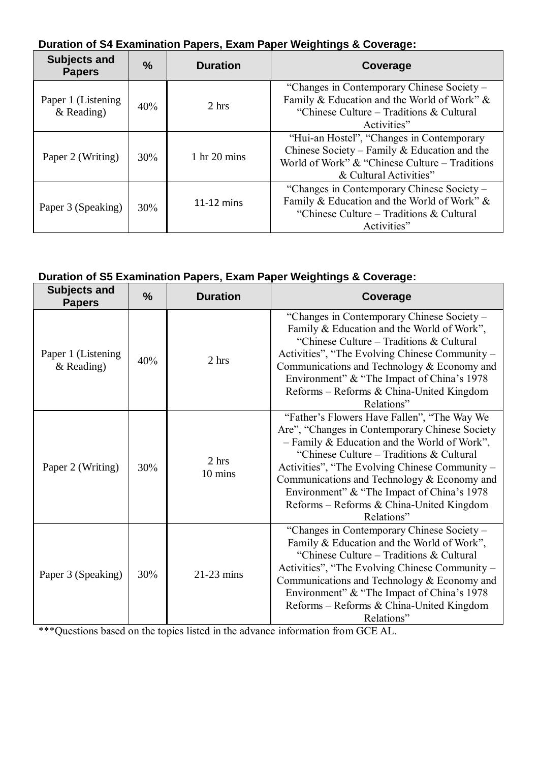|--|

| <b>Subjects and</b><br><b>Papers</b> | $\frac{0}{0}$ | <b>Duration</b>        | Coverage                                                                                                                                                                 |
|--------------------------------------|---------------|------------------------|--------------------------------------------------------------------------------------------------------------------------------------------------------------------------|
| Paper 1 (Listening<br>$&$ Reading)   | 40%           | 2 hrs                  | "Changes in Contemporary Chinese Society -<br>Family & Education and the World of Work" &<br>"Chinese Culture – Traditions & Cultural"<br>Activities"                    |
| Paper 2 (Writing)                    | 30%           | 1 hr $20 \text{ mins}$ | "Hui-an Hostel", "Changes in Contemporary<br>Chinese Society – Family & Education and the<br>World of Work" $&$ "Chinese Culture – Traditions"<br>& Cultural Activities" |
| Paper 3 (Speaking)                   | 30%           | $11-12$ mins           | "Changes in Contemporary Chinese Society –<br>Family & Education and the World of Work" &<br>"Chinese Culture – Traditions & Cultural"<br>Activities"                    |

# **Duration of S5 Examination Papers, Exam Paper Weightings & Coverage:**

| <b>Subjects and</b><br><b>Papers</b> | %   | <b>Duration</b>  | Coverage                                                                                                                                                                                                                                                                                                                                                                                           |
|--------------------------------------|-----|------------------|----------------------------------------------------------------------------------------------------------------------------------------------------------------------------------------------------------------------------------------------------------------------------------------------------------------------------------------------------------------------------------------------------|
| Paper 1 (Listening<br>$&$ Reading)   | 40% | 2 hrs            | "Changes in Contemporary Chinese Society -<br>Family & Education and the World of Work",<br>"Chinese Culture – Traditions & Cultural<br>Activities", "The Evolving Chinese Community –<br>Communications and Technology & Economy and<br>Environment" & "The Impact of China's 1978<br>Reforms - Reforms & China-United Kingdom<br>Relations"                                                      |
| Paper 2 (Writing)                    | 30% | 2 hrs<br>10 mins | "Father's Flowers Have Fallen", "The Way We<br>Are", "Changes in Contemporary Chinese Society<br>- Family & Education and the World of Work",<br>"Chinese Culture – Traditions & Cultural<br>Activities", "The Evolving Chinese Community -<br>Communications and Technology & Economy and<br>Environment" & "The Impact of China's 1978<br>Reforms - Reforms & China-United Kingdom<br>Relations" |
| Paper 3 (Speaking)                   | 30% | $21-23$ mins     | "Changes in Contemporary Chinese Society -<br>Family & Education and the World of Work",<br>"Chinese Culture – Traditions & Cultural<br>Activities", "The Evolving Chinese Community –<br>Communications and Technology & Economy and<br>Environment" & "The Impact of China's 1978<br>Reforms - Reforms & China-United Kingdom<br>Relations"                                                      |

\*\*\*Questions based on the topics listed in the advance information from GCE AL.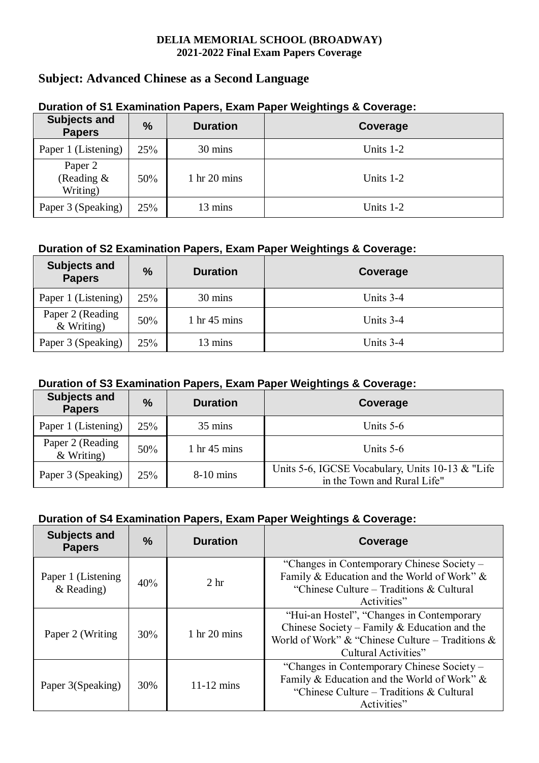# <span id="page-3-0"></span>**Subject: Advanced Chinese as a Second Language**

| <b>Subjects and</b><br><b>Papers</b> | $\%$ | <b>Duration</b>                | Coverage    |
|--------------------------------------|------|--------------------------------|-------------|
| Paper 1 (Listening)                  | 25%  | 30 mins                        | Units $1-2$ |
| Paper 2<br>(Reading $\&$<br>Writing) | 50%  | $1 \text{ hr} 20 \text{ mins}$ | Units $1-2$ |
| Paper 3 (Speaking)                   | 25%  | 13 mins                        | Units $1-2$ |

## **Duration of S1 Examination Papers, Exam Paper Weightings & Coverage:**

## **Duration of S2 Examination Papers, Exam Paper Weightings & Coverage:**

| <b>Subjects and</b><br><b>Papers</b> | $\%$ | <b>Duration</b>                 | Coverage  |
|--------------------------------------|------|---------------------------------|-----------|
| Paper 1 (Listening)                  | 25%  | 30 mins                         | Units 3-4 |
| Paper 2 (Reading<br>$&$ Writing)     | 50%  | $1 \text{ hr } 45 \text{ mins}$ | Units 3-4 |
| Paper 3 (Speaking)                   | 25%  | 13 mins                         | Units 3-4 |

## **Duration of S3 Examination Papers, Exam Paper Weightings & Coverage:**

| <b>Subjects and</b><br><b>Papers</b> | $\frac{0}{0}$ | <b>Duration</b>        | Coverage                                                                         |
|--------------------------------------|---------------|------------------------|----------------------------------------------------------------------------------|
| Paper 1 (Listening)                  | 25%           | $35 \text{ mins}$      | Units $5-6$                                                                      |
| Paper 2 (Reading<br>$&$ Writing)     | 50%           | 1 hr $45 \text{ mins}$ | Units $5-6$                                                                      |
| Paper 3 (Speaking)                   | 25%           | $8-10$ mins            | Units 5-6, IGCSE Vocabulary, Units 10-13 & "Life"<br>in the Town and Rural Life" |

| <b>Subjects and</b><br><b>Papers</b> | $\frac{0}{0}$ | <b>Duration</b>        | Coverage                                                                                                                                                              |
|--------------------------------------|---------------|------------------------|-----------------------------------------------------------------------------------------------------------------------------------------------------------------------|
| Paper 1 (Listening<br>$&$ Reading)   | 40%           | 2 <sub>hr</sub>        | "Changes in Contemporary Chinese Society -<br>Family & Education and the World of Work" &<br>"Chinese Culture – Traditions & Cultural"<br>Activities"                 |
| Paper 2 (Writing                     | 30%           | 1 hr $20 \text{ mins}$ | "Hui-an Hostel", "Changes in Contemporary<br>Chinese Society – Family & Education and the<br>World of Work" & "Chinese Culture – Traditions &<br>Cultural Activities" |
| Paper 3(Speaking)                    | 30%           | $11-12$ mins           | "Changes in Contemporary Chinese Society –<br>Family & Education and the World of Work" &<br>"Chinese Culture – Traditions & Cultural"<br>Activities"                 |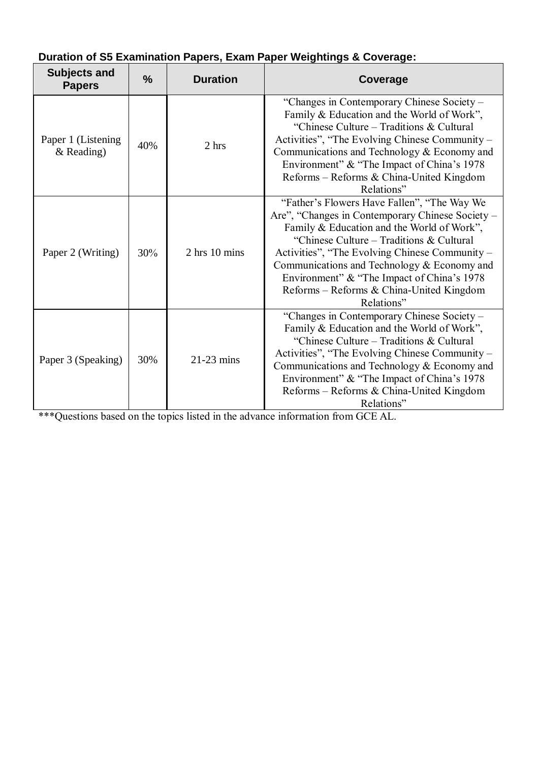| <b>Subjects and</b><br><b>Papers</b> | $\frac{9}{6}$ | <b>Duration</b>   | Coverage                                                                                                                                                                                                                                                                                                                                                                                           |
|--------------------------------------|---------------|-------------------|----------------------------------------------------------------------------------------------------------------------------------------------------------------------------------------------------------------------------------------------------------------------------------------------------------------------------------------------------------------------------------------------------|
| Paper 1 (Listening<br>$&$ Reading)   | 40%           | 2 hrs             | "Changes in Contemporary Chinese Society -<br>Family & Education and the World of Work",<br>"Chinese Culture – Traditions & Cultural<br>Activities", "The Evolving Chinese Community -<br>Communications and Technology & Economy and<br>Environment" & "The Impact of China's 1978<br>Reforms – Reforms & China-United Kingdom<br>Relations"                                                      |
| Paper 2 (Writing)                    | 30%           | $2$ hrs $10$ mins | "Father's Flowers Have Fallen", "The Way We<br>Are", "Changes in Contemporary Chinese Society –<br>Family & Education and the World of Work",<br>"Chinese Culture – Traditions & Cultural<br>Activities", "The Evolving Chinese Community –<br>Communications and Technology & Economy and<br>Environment" & "The Impact of China's 1978<br>Reforms - Reforms & China-United Kingdom<br>Relations" |
| Paper 3 (Speaking)                   | 30%           | $21-23$ mins      | "Changes in Contemporary Chinese Society -<br>Family & Education and the World of Work",<br>"Chinese Culture – Traditions & Cultural<br>Activities", "The Evolving Chinese Community –<br>Communications and Technology & Economy and<br>Environment" & "The Impact of China's 1978<br>Reforms - Reforms & China-United Kingdom<br>Relations"                                                      |

# **Duration of S5 Examination Papers, Exam Paper Weightings & Coverage:**

\*\*\*Questions based on the topics listed in the advance information from GCE AL.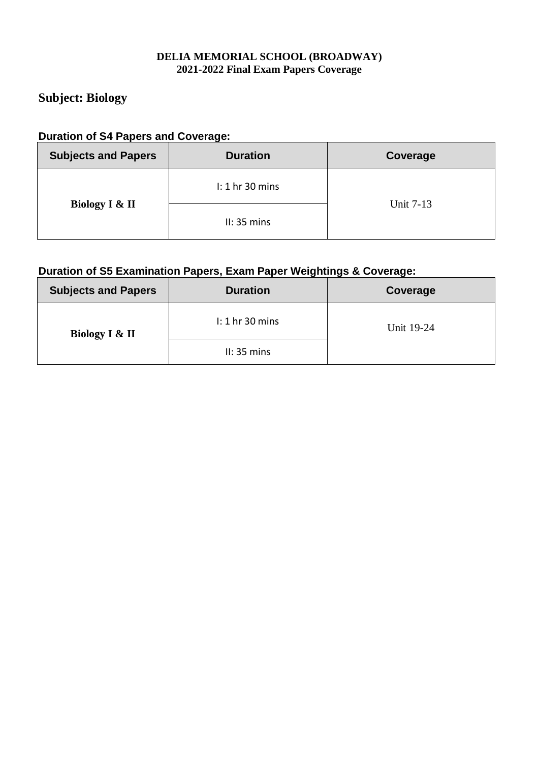# <span id="page-5-0"></span>**Subject: Biology**

#### **Duration of S4 Papers and Coverage:**

| <b>Subjects and Papers</b> | <b>Duration</b>   | Coverage  |  |
|----------------------------|-------------------|-----------|--|
|                            | $l: 1$ hr 30 mins |           |  |
| Biology I & II             | II: 35 mins       | Unit 7-13 |  |

| <b>Subjects and Papers</b> | <b>Duration</b>    | Coverage   |
|----------------------------|--------------------|------------|
| Biology I & II             | $\ln 1$ hr 30 mins | Unit 19-24 |
|                            | II: 35 mins        |            |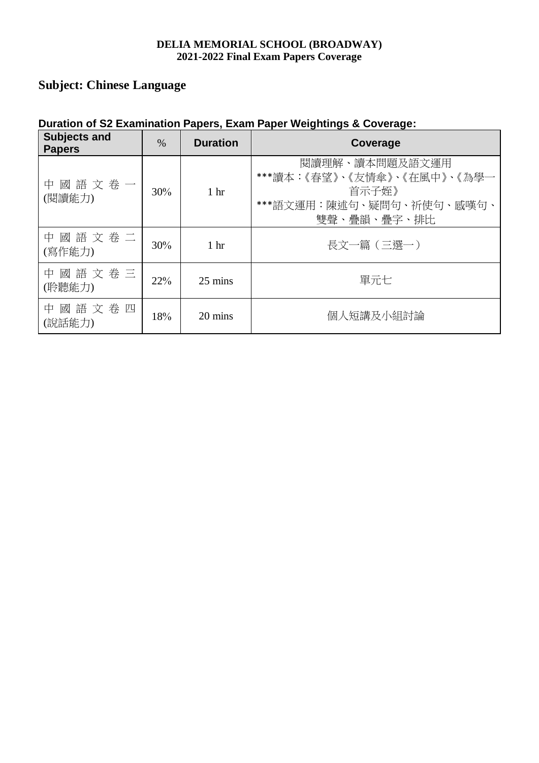# <span id="page-6-0"></span>**Subject: Chinese Language**

| <b>Subjects and</b><br><b>Papers</b> | $\%$ | <b>Duration</b> | Coverage                                                                                          |
|--------------------------------------|------|-----------------|---------------------------------------------------------------------------------------------------|
| 中國語文卷一<br>(閱讀能力)                     | 30%  | 1 <sup>hr</sup> | 閲讀理解、讀本問題及語文運用<br>***讀本:《春望》、《友情傘》、《在風中》、《為學一<br>首示子姪》<br>***語文運用:陳述句、疑問句、祈使句、感嘆句、<br>雙聲、疊韻、疊字、排比 |
| 中國語文卷二<br>(寫作能力)                     | 30%  | 1 <sup>hr</sup> | 長文一篇 (三選一)                                                                                        |
| 中國語文卷三<br>(聆聽能力)                     | 22%  | 25 mins         | 單元七                                                                                               |
| 中國語文卷四<br>(說話能力)                     | 18%  | 20 mins         | 個人短講及小組討論                                                                                         |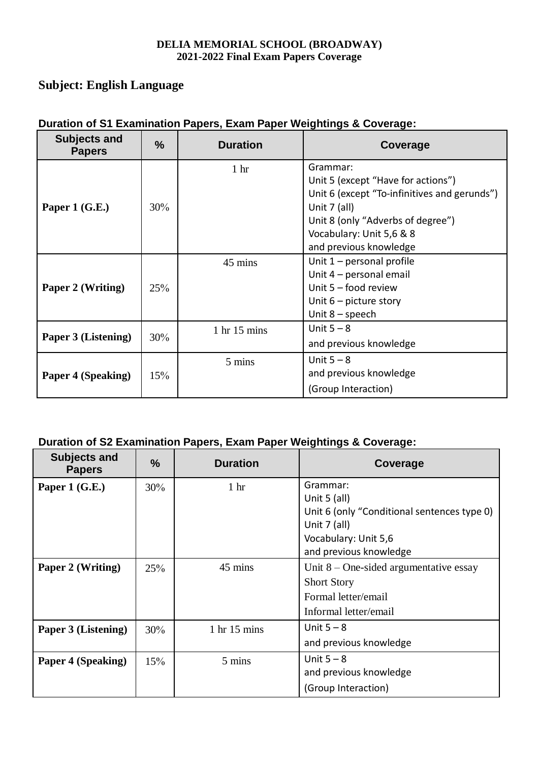## <span id="page-7-0"></span>**Subject: English Language**

| <b>Subjects and</b><br><b>Papers</b> | $\frac{0}{0}$ | <b>Duration</b>                | Coverage                                                                                                                                                                                                  |
|--------------------------------------|---------------|--------------------------------|-----------------------------------------------------------------------------------------------------------------------------------------------------------------------------------------------------------|
| Paper 1 $(G.E.)$                     | 30%           | 1 <sub>hr</sub>                | Grammar:<br>Unit 5 (except "Have for actions")<br>Unit 6 (except "To-infinitives and gerunds")<br>Unit 7 (all)<br>Unit 8 (only "Adverbs of degree")<br>Vocabulary: Unit 5,6 & 8<br>and previous knowledge |
| Paper 2 (Writing)                    | 25%           | 45 mins                        | Unit $1$ – personal profile<br>Unit 4 – personal email<br>Unit $5 -$ food review<br>Unit $6$ – picture story<br>Unit $8$ – speech                                                                         |
| Paper 3 (Listening)                  | 30%           | $1 \text{ hr} 15 \text{ mins}$ | Unit $5 - 8$<br>and previous knowledge                                                                                                                                                                    |
| <b>Paper 4 (Speaking)</b>            | 15%           | 5 mins                         | Unit $5 - 8$<br>and previous knowledge<br>(Group Interaction)                                                                                                                                             |

## **Duration of S1 Examination Papers, Exam Paper Weightings & Coverage:**

| <b>Subjects and</b><br><b>Papers</b> | %   | <b>Duration</b>                | Coverage                                    |
|--------------------------------------|-----|--------------------------------|---------------------------------------------|
| Paper 1 $(G.E.)$                     | 30% | 1 <sub>hr</sub>                | Grammar:                                    |
|                                      |     |                                | Unit $5$ (all)                              |
|                                      |     |                                | Unit 6 (only "Conditional sentences type 0) |
|                                      |     |                                | Unit $7$ (all)                              |
|                                      |     |                                | Vocabulary: Unit 5,6                        |
|                                      |     |                                | and previous knowledge                      |
| Paper 2 (Writing)                    | 25% | 45 mins                        | Unit $8$ – One-sided argumentative essay    |
|                                      |     |                                | <b>Short Story</b>                          |
|                                      |     |                                | Formal letter/email                         |
|                                      |     |                                | Informal letter/email                       |
| Paper 3 (Listening)                  | 30% | $1 \text{ hr} 15 \text{ mins}$ | Unit $5 - 8$                                |
|                                      |     |                                | and previous knowledge                      |
| Paper 4 (Speaking)                   | 15% | 5 mins                         | Unit $5 - 8$                                |
|                                      |     |                                | and previous knowledge                      |
|                                      |     |                                | (Group Interaction)                         |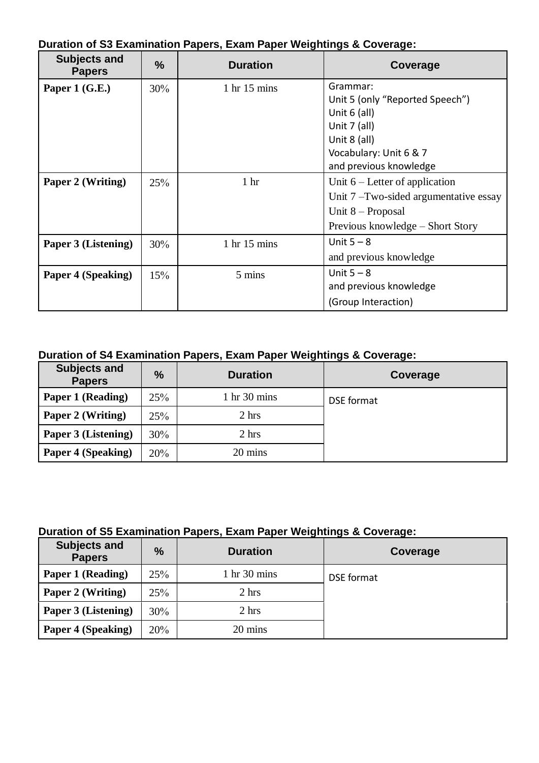| <b>Subjects and</b><br><b>Papers</b> | $\frac{9}{6}$ | <b>Duration</b>                | Coverage                                |
|--------------------------------------|---------------|--------------------------------|-----------------------------------------|
| Paper 1 $(G.E.)$                     | 30%           | $1 \text{ hr} 15 \text{ mins}$ | Grammar:                                |
|                                      |               |                                | Unit 5 (only "Reported Speech")         |
|                                      |               |                                | Unit $6$ (all)                          |
|                                      |               |                                | Unit 7 (all)                            |
|                                      |               |                                | Unit 8 (all)                            |
|                                      |               |                                | Vocabulary: Unit 6 & 7                  |
|                                      |               |                                | and previous knowledge                  |
| Paper 2 (Writing)                    | 25%           | 1 <sub>hr</sub>                | Unit $6$ – Letter of application        |
|                                      |               |                                | Unit $7$ –Two-sided argumentative essay |
|                                      |               |                                | Unit $8$ – Proposal                     |
|                                      |               |                                | Previous knowledge – Short Story        |
| Paper 3 (Listening)                  | 30%           | 1 hr 15 mins                   | Unit $5 - 8$                            |
|                                      |               |                                | and previous knowledge                  |
| <b>Paper 4 (Speaking)</b>            | 15%           | 5 mins                         | Unit $5 - 8$                            |
|                                      |               |                                | and previous knowledge                  |
|                                      |               |                                | (Group Interaction)                     |

**Duration of S3 Examination Papers, Exam Paper Weightings & Coverage:**

# **Duration of S4 Examination Papers, Exam Paper Weightings & Coverage:**

| <b>Subjects and</b><br><b>Papers</b> | %   | <b>Duration</b>                | Coverage   |
|--------------------------------------|-----|--------------------------------|------------|
| Paper 1 (Reading)                    | 25% | $1 \text{ hr} 30 \text{ mins}$ | DSE format |
| Paper 2 (Writing)                    | 25% | 2 hrs                          |            |
| Paper 3 (Listening)                  | 30% | 2 hrs                          |            |
| Paper 4 (Speaking)                   | 20% | 20 mins                        |            |

| <b>Subjects and</b><br><b>Papers</b> | $\frac{9}{6}$ | <b>Duration</b>                | Coverage   |
|--------------------------------------|---------------|--------------------------------|------------|
| Paper 1 (Reading)                    | 25%           | $1 \text{ hr} 30 \text{ mins}$ | DSE format |
| Paper 2 (Writing)                    | 25%           | 2 hrs                          |            |
| Paper 3 (Listening)                  | 30%           | 2 hrs                          |            |
| Paper 4 (Speaking)                   | 20%           | 20 mins                        |            |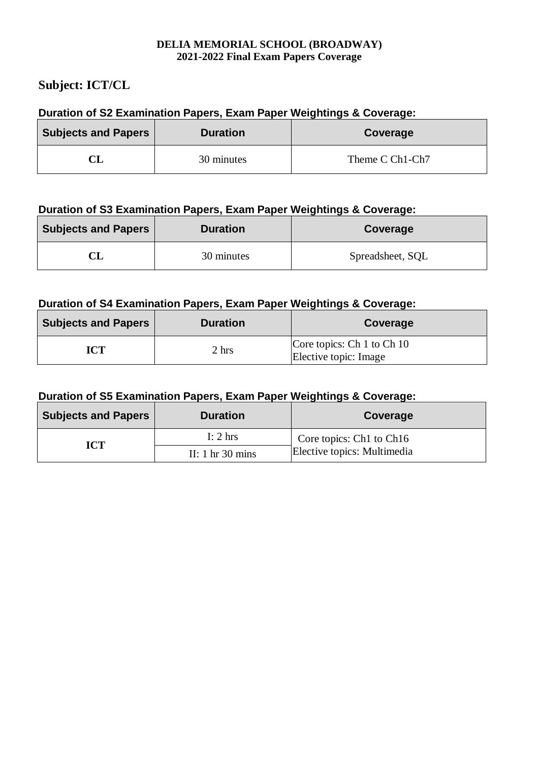## <span id="page-9-0"></span>**Subject: ICT/CL**

### **Duration of S2 Examination Papers, Exam Paper Weightings & Coverage:**

| <b>Subjects and Papers</b> | <b>Duration</b> | <b>Coverage</b> |
|----------------------------|-----------------|-----------------|
|                            | 30 minutes      | Theme C Ch1-Ch7 |

### **Duration of S3 Examination Papers, Exam Paper Weightings & Coverage:**

| <b>Subjects and Papers</b> | <b>Duration</b> | Coverage         |
|----------------------------|-----------------|------------------|
|                            | 30 minutes      | Spreadsheet, SQL |

## **Duration of S4 Examination Papers, Exam Paper Weightings & Coverage:**

| <b>Subjects and Papers</b> | <b>Duration</b> | Coverage                                            |
|----------------------------|-----------------|-----------------------------------------------------|
| ICT                        | 2 hrs           | Core topics: Ch 1 to Ch 10<br>Elective topic: Image |

| <b>Subjects and Papers</b> | <b>Duration</b>                    | Coverage                    |
|----------------------------|------------------------------------|-----------------------------|
| ICT                        | I: $2 \text{ hrs}$                 | Core topics: Ch1 to Ch16    |
|                            | II: $1 \text{ hr} 30 \text{ mins}$ | Elective topics: Multimedia |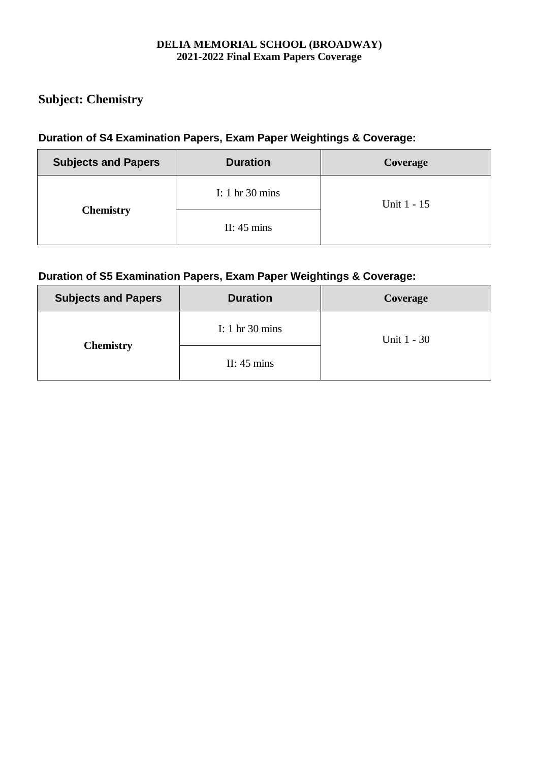# <span id="page-10-0"></span>**Subject: Chemistry**

## **Duration of S4 Examination Papers, Exam Paper Weightings & Coverage:**

| <b>Subjects and Papers</b> | <b>Duration</b>                   | Coverage    |
|----------------------------|-----------------------------------|-------------|
|                            | I: $1 \text{ hr} 30 \text{ mins}$ | Unit 1 - 15 |
| <b>Chemistry</b>           | II: $45 \text{ mins}$             |             |

| <b>Subjects and Papers</b> | <b>Duration</b>                   | Coverage    |
|----------------------------|-----------------------------------|-------------|
| <b>Chemistry</b>           | I: $1 \text{ hr} 30 \text{ mins}$ | Unit 1 - 30 |
|                            | II: $45 \text{ mins}$             |             |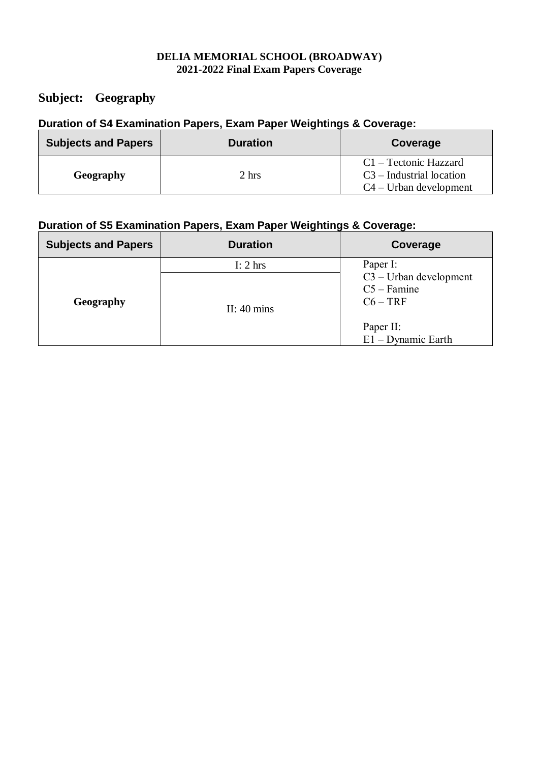## <span id="page-11-0"></span>**Subject: Geography**

# **Duration of S4 Examination Papers, Exam Paper Weightings & Coverage:**

| <b>Subjects and Papers</b> | <b>Duration</b> | Coverage                                                                                 |
|----------------------------|-----------------|------------------------------------------------------------------------------------------|
| <b>Geography</b>           | 2 hrs           | $C1 - \text{Tectonic Hazzard}$<br>$C3$ – Industrial location<br>$C4 - Urban development$ |

| <b>Subjects and Papers</b> | <b>Duration</b>       | Coverage                                                 |
|----------------------------|-----------------------|----------------------------------------------------------|
|                            | I: $2 \text{ hrs}$    | Paper I:                                                 |
| Geography                  | II: $40 \text{ mins}$ | $C3 - Urban development$<br>$C5 - F$ amine<br>$C6 - TRF$ |
|                            |                       | Paper II:<br>$E1 - Dynamic Earth$                        |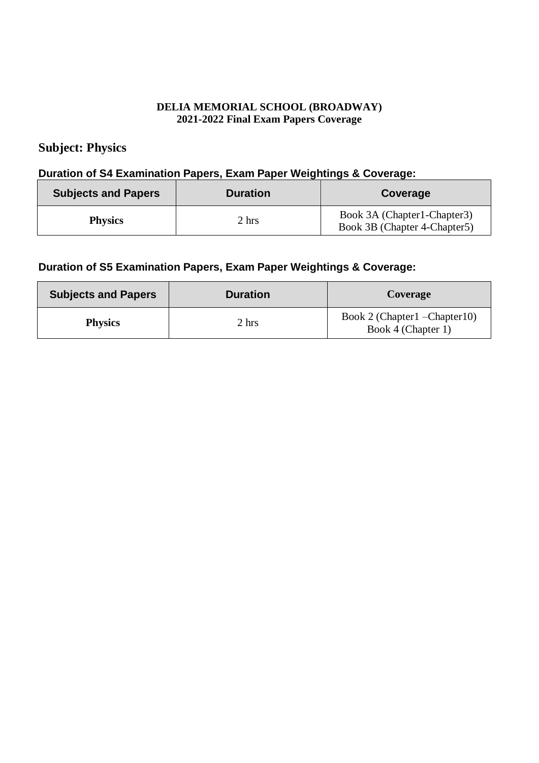# <span id="page-12-0"></span>**Subject: Physics**

#### **Duration of S4 Examination Papers, Exam Paper Weightings & Coverage:**

| <b>Subjects and Papers</b> | <b>Duration</b> | Coverage                                                     |
|----------------------------|-----------------|--------------------------------------------------------------|
| <b>Physics</b>             | 2 hrs           | Book 3A (Chapter1-Chapter3)<br>Book 3B (Chapter 4-Chapter 5) |

| <b>Subjects and Papers</b> | <b>Duration</b> | Coverage                                            |
|----------------------------|-----------------|-----------------------------------------------------|
| <b>Physics</b>             | 2 hrs           | Book 2 (Chapter1 – Chapter10)<br>Book 4 (Chapter 1) |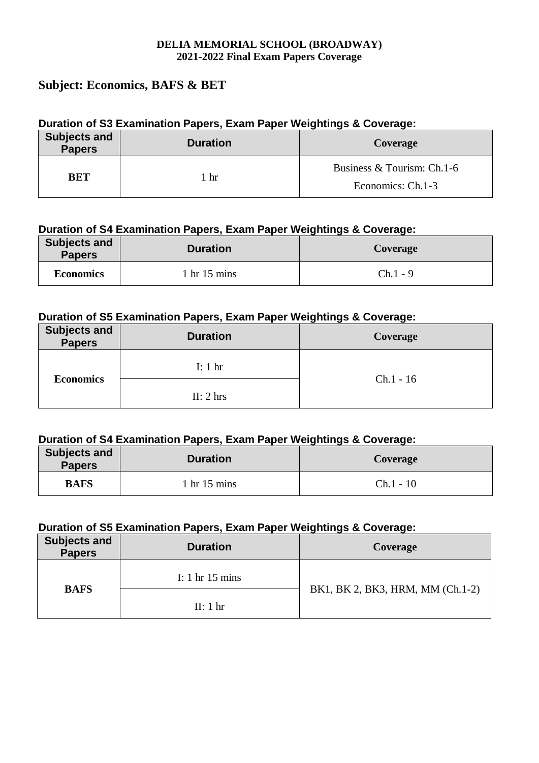## <span id="page-13-0"></span>**Subject: Economics, BAFS & BET**

### **Duration of S3 Examination Papers, Exam Paper Weightings & Coverage:**

| <b>Subjects and</b><br><b>Papers</b> | <b>Duration</b> | Coverage                                        |
|--------------------------------------|-----------------|-------------------------------------------------|
| BET                                  | hr              | Business & Tourism: Ch.1-6<br>Economics: Ch.1-3 |

### **Duration of S4 Examination Papers, Exam Paper Weightings & Coverage:**

| <b>Subjects and</b><br><b>Papers</b> | <b>Duration</b> | Coverage   |
|--------------------------------------|-----------------|------------|
| <b>Economics</b>                     | hr 15 mins      | $Ch.1 - 9$ |

### **Duration of S5 Examination Papers, Exam Paper Weightings & Coverage:**

| <b>Subjects and</b><br><b>Papers</b> | <b>Duration</b>     | Coverage    |
|--------------------------------------|---------------------|-------------|
| <b>Economics</b>                     | I: $1 \text{ hr}$   | $Ch.1 - 16$ |
|                                      | II: $2 \text{ hrs}$ |             |

### **Duration of S4 Examination Papers, Exam Paper Weightings & Coverage:**

| Subjects and<br><b>Papers</b> | <b>Duration</b>          | <b>Coverage</b> |
|-------------------------------|--------------------------|-----------------|
| <b>BAFS</b>                   | $\frac{1}{1}$ hr 15 mins | $Ch.1 - 10$     |

| <b>Subjects and</b><br><b>Papers</b> | <b>Duration</b>           | Coverage                         |
|--------------------------------------|---------------------------|----------------------------------|
| <b>BAFS</b>                          | I: 1 hr $15 \text{ mins}$ | BK1, BK 2, BK3, HRM, MM (Ch.1-2) |
|                                      | II: 1 hr                  |                                  |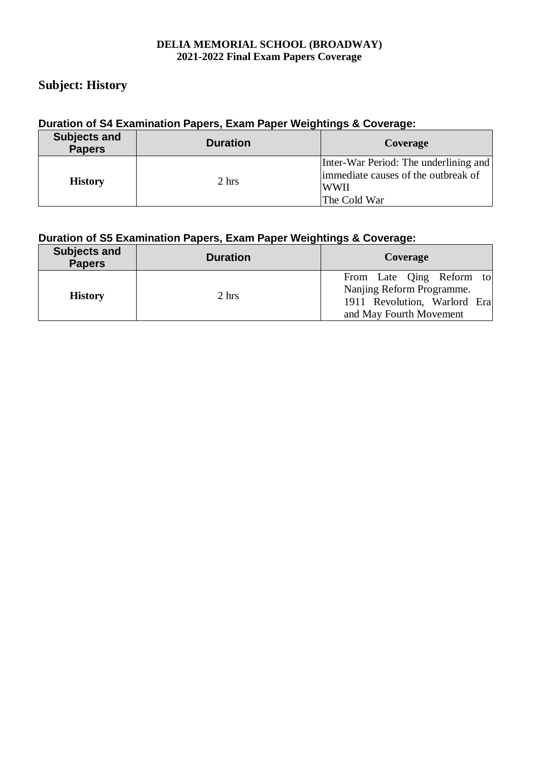## <span id="page-14-0"></span>**Subject: History**

### **Duration of S4 Examination Papers, Exam Paper Weightings & Coverage:**

| <b>Subjects and</b><br><b>Papers</b> | <b>Duration</b> | Coverage                                                                                                    |
|--------------------------------------|-----------------|-------------------------------------------------------------------------------------------------------------|
| <b>History</b>                       | 2 hrs           | Inter-War Period: The underlining and<br>immediate causes of the outbreak of<br><b>WWII</b><br>The Cold War |

| <b>Subjects and</b><br><b>Papers</b> | <b>Duration</b> | Coverage                                                                                                         |
|--------------------------------------|-----------------|------------------------------------------------------------------------------------------------------------------|
| <b>History</b>                       | 2 hrs           | From Late Qing Reform to<br>Nanjing Reform Programme.<br>1911 Revolution, Warlord Era<br>and May Fourth Movement |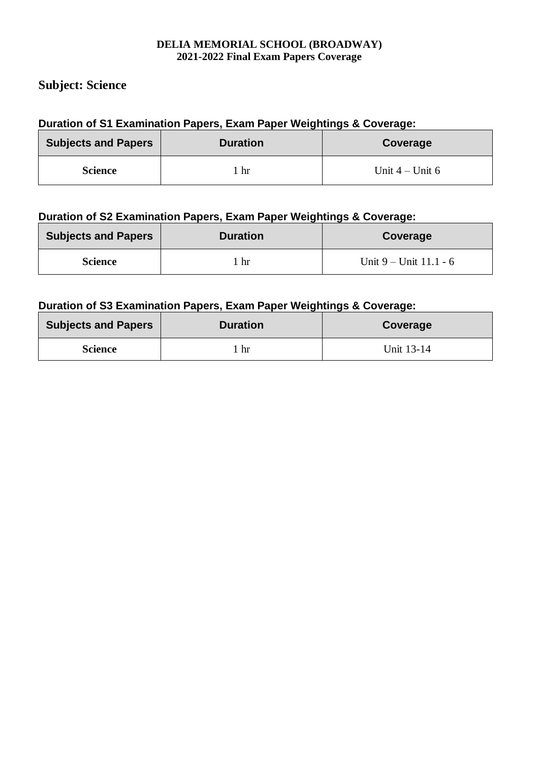## <span id="page-15-0"></span>**Subject: Science**

### **Duration of S1 Examination Papers, Exam Paper Weightings & Coverage:**

| <b>Subjects and Papers</b> | <b>Duration</b> | Coverage          |
|----------------------------|-----------------|-------------------|
| <b>Science</b>             | hr              | Unit $4 -$ Unit 6 |

### **Duration of S2 Examination Papers, Exam Paper Weightings & Coverage:**

| <b>Subjects and Papers</b> | <b>Duration</b> | Coverage                   |
|----------------------------|-----------------|----------------------------|
| <b>Science</b>             | hr              | Unit $9 -$ Unit $11.1 - 6$ |

| <b>Subjects and Papers</b> | <b>Duration</b> | Coverage   |
|----------------------------|-----------------|------------|
| <b>Science</b>             | hr              | Unit 13-14 |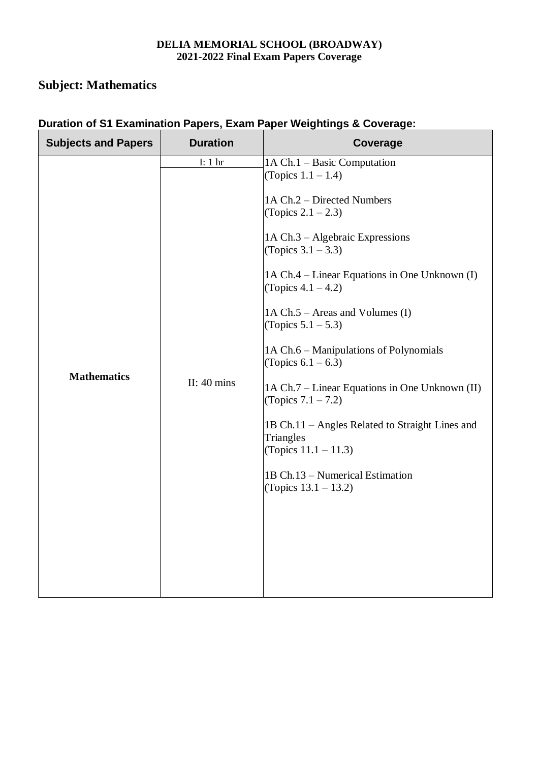# **Subject: Mathematics**

| <b>Subjects and Papers</b> | <b>Duration</b>                            | <b>Coverage</b>                                                                                                                                                                                                                                                                                                                                                                                                                                                                                                                                                                                                   |
|----------------------------|--------------------------------------------|-------------------------------------------------------------------------------------------------------------------------------------------------------------------------------------------------------------------------------------------------------------------------------------------------------------------------------------------------------------------------------------------------------------------------------------------------------------------------------------------------------------------------------------------------------------------------------------------------------------------|
| <b>Mathematics</b>         | I: $1 \text{ hr}$<br>II: $40 \text{ mins}$ | 1A Ch.1 – Basic Computation<br>(Topics $1.1 - 1.4$ )<br>1A Ch.2 – Directed Numbers<br>(Topics $2.1 - 2.3$ )<br>1A Ch.3 - Algebraic Expressions<br>(Topics $3.1 - 3.3$ )<br>1A Ch.4 – Linear Equations in One Unknown (I)<br>(Topics $4.1 - 4.2$ )<br>1A Ch.5 – Areas and Volumes (I)<br>(Topics $5.1 - 5.3$ )<br>1A Ch.6 – Manipulations of Polynomials<br>(Topics $6.1 - 6.3$ )<br>1A Ch.7 – Linear Equations in One Unknown (II)<br>(Topics $7.1 - 7.2$ )<br>1B Ch.11 – Angles Related to Straight Lines and<br>Triangles<br>(Topics $11.1 - 11.3$ )<br>1B Ch.13 – Numerical Estimation<br>(Topics 13.1 – 13.2) |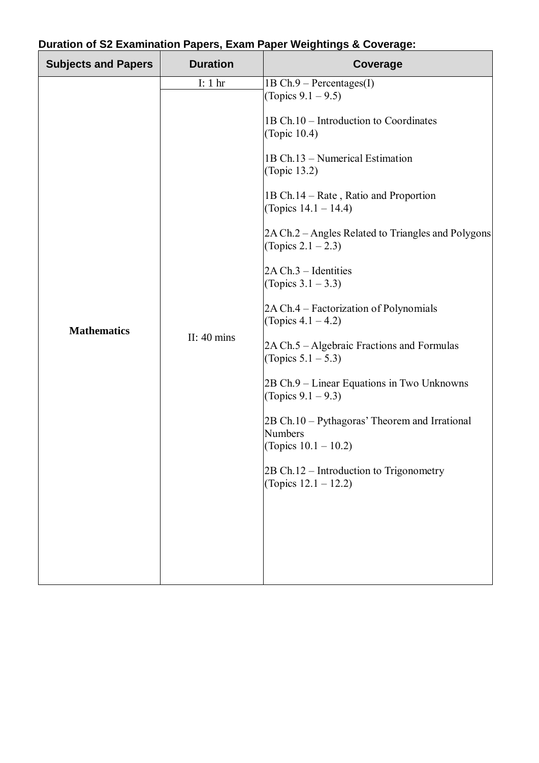| I: 1 hr<br>$1B Ch.9 - Percentage(SI)$<br>(Topics $9.1 - 9.5$ )<br>1B Ch.10 - Introduction to Coordinates<br>(Topic 10.4)<br>1B Ch.13 - Numerical Estimation<br>(Topic 13.2)<br>1B Ch.14 – Rate, Ratio and Proportion<br>(Topics $14.1 - 14.4$ )<br>(Topics $2.1 - 2.3$ )<br>$2A Ch.3 - Identities$<br>(Topics $3.1 - 3.3$ )<br>2A Ch.4 – Factorization of Polynomials<br>(Topics $4.1 - 4.2$ )<br><b>Mathematics</b><br>II: $40 \text{ mins}$<br>2A Ch.5 – Algebraic Fractions and Formulas<br>(Topics $5.1 - 5.3$ )<br>2B Ch.9 – Linear Equations in Two Unknowns<br>(Topics $9.1 - 9.3$ )<br>2B Ch.10 – Pythagoras' Theorem and Irrational<br><b>Numbers</b><br>(Topics $10.1 - 10.2$ )<br>2B Ch.12 – Introduction to Trigonometry<br>(Topics $12.1 - 12.2$ ) | <b>Subjects and Papers</b> | <b>Duration</b> | Coverage                                           |
|-----------------------------------------------------------------------------------------------------------------------------------------------------------------------------------------------------------------------------------------------------------------------------------------------------------------------------------------------------------------------------------------------------------------------------------------------------------------------------------------------------------------------------------------------------------------------------------------------------------------------------------------------------------------------------------------------------------------------------------------------------------------|----------------------------|-----------------|----------------------------------------------------|
|                                                                                                                                                                                                                                                                                                                                                                                                                                                                                                                                                                                                                                                                                                                                                                 |                            |                 | 2A Ch.2 – Angles Related to Triangles and Polygons |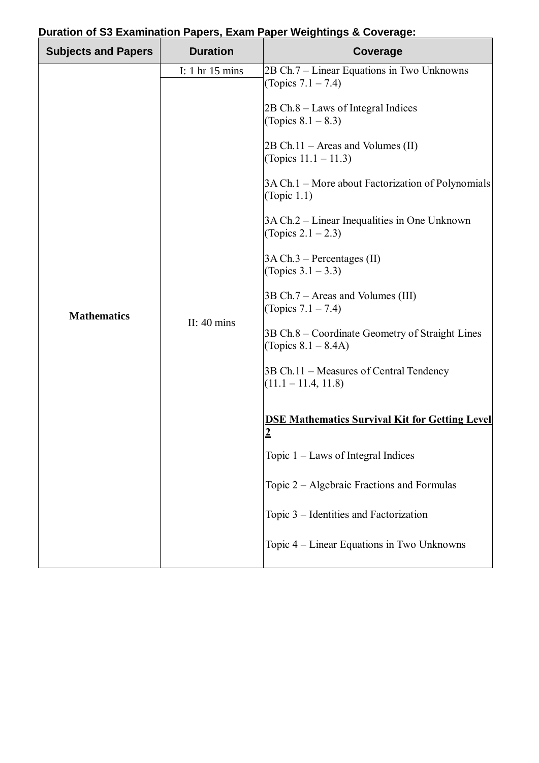| <b>Subjects and Papers</b> | <b>Duration</b>                                            | $\alpha$ aration or os Examination i apors, Exam i apor froightings & Oofcrago.<br>Coverage                                                                                                                                                                                                                                                                                                                                                                                                                                                                                                                                                                                                                                                                                                                                                                                                    |
|----------------------------|------------------------------------------------------------|------------------------------------------------------------------------------------------------------------------------------------------------------------------------------------------------------------------------------------------------------------------------------------------------------------------------------------------------------------------------------------------------------------------------------------------------------------------------------------------------------------------------------------------------------------------------------------------------------------------------------------------------------------------------------------------------------------------------------------------------------------------------------------------------------------------------------------------------------------------------------------------------|
| <b>Mathematics</b>         | I: $1 \text{ hr} 15 \text{ mins}$<br>II: $40 \text{ mins}$ | 2B Ch.7 - Linear Equations in Two Unknowns<br>(Topics $7.1 - 7.4$ )<br>$2B Ch.8 - Laws$ of Integral Indices<br>(Topics $8.1 - 8.3$ )<br>$2B Ch.11 - \text{Areas}$ and Volumes (II)<br>(Topics $11.1 - 11.3$ )<br>3A Ch.1 – More about Factorization of Polynomials<br>(Topic $1.1$ )<br>3A Ch.2 – Linear Inequalities in One Unknown<br>(Topics $2.1 - 2.3$ )<br>$3A Ch.3$ – Percentages (II)<br>(Topics $3.1 - 3.3$ )<br>3B Ch.7 – Areas and Volumes (III)<br>(Topics $7.1 - 7.4$ )<br>3B Ch.8 – Coordinate Geometry of Straight Lines<br>(Topics $8.1 - 8.4$ A)<br>3B Ch.11 – Measures of Central Tendency<br>$(11.1 - 11.4, 11.8)$<br><b>DSE Mathematics Survival Kit for Getting Level</b><br>$\overline{2}$<br>Topic $1$ – Laws of Integral Indices<br>Topic 2 – Algebraic Fractions and Formulas<br>Topic 3 - Identities and Factorization<br>Topic 4 – Linear Equations in Two Unknowns |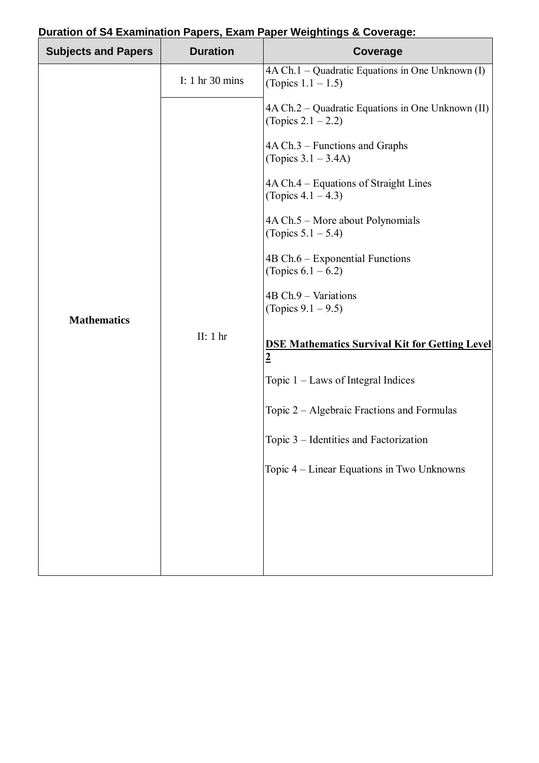| <b>Subjects and Papers</b> | <b>Duration</b>                   | Puration of Examination rapers, Exam raper weightings & Ooverage.<br>Coverage |
|----------------------------|-----------------------------------|-------------------------------------------------------------------------------|
|                            | I: $1 \text{ hr} 30 \text{ mins}$ | 4A Ch.1 - Quadratic Equations in One Unknown (I)<br>(Topics $1.1 - 1.5$ )     |
|                            |                                   | $4A Ch.2 - Quadratic Equations in One Unknown (II)$<br>(Topics $2.1 - 2.2$ )  |
|                            |                                   | $4A Ch.3$ – Functions and Graphs<br>(Topics $3.1 - 3.4$ A)                    |
|                            |                                   | 4A Ch.4 – Equations of Straight Lines<br>(Topics $4.1 - 4.3$ )                |
|                            |                                   | 4A Ch.5 - More about Polynomials<br>(Topics $5.1 - 5.4$ )                     |
|                            |                                   | $4B Ch.6 - Exponential Functions$<br>(Topics $6.1 - 6.2$ )                    |
|                            |                                   | 4B Ch.9 - Variations<br>(Topics $9.1 - 9.5$ )                                 |
| <b>Mathematics</b>         | II: $1hr$                         | <b>DSE Mathematics Survival Kit for Getting Level</b><br>$\overline{2}$       |
|                            |                                   | Topic $1$ – Laws of Integral Indices                                          |
|                            |                                   | Topic $2 -$ Algebraic Fractions and Formulas                                  |
|                            |                                   | Topic 3 – Identities and Factorization                                        |
|                            |                                   | Topic 4 – Linear Equations in Two Unknowns                                    |
|                            |                                   |                                                                               |
|                            |                                   |                                                                               |
|                            |                                   |                                                                               |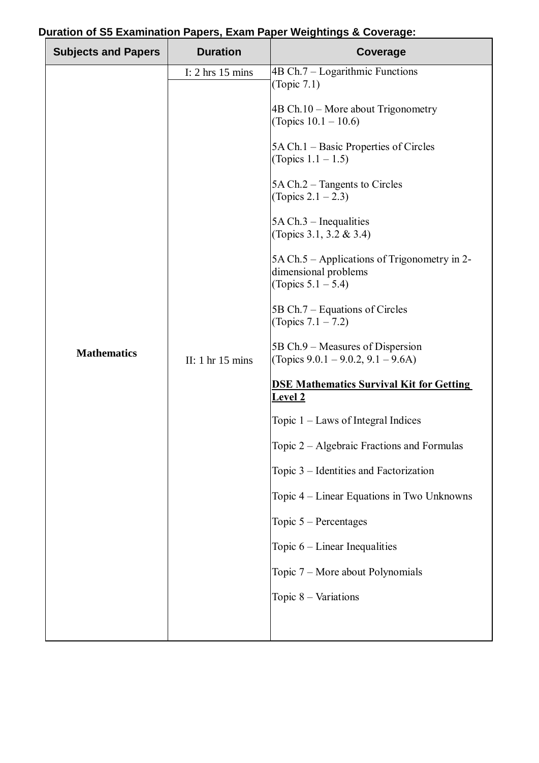| 4B Ch.7 - Logarithmic Functions<br>I: $2 \text{ hrs} 15 \text{ mins}$<br>(Topic 7.1)<br>$4B Ch.10 - More about Trigonometry$<br>(Topics $10.1 - 10.6$ )<br>5A Ch.1 – Basic Properties of Circles<br>(Topics $1.1 - 1.5$ )<br>5A Ch.2 – Tangents to Circles<br>(Topics $2.1 - 2.3$ )<br>$5A Ch.3$ – Inequalities<br>(Topics 3.1, 3.2 & 3.4)<br>5A Ch.5 – Applications of Trigonometry in 2-<br>dimensional problems<br>(Topics $5.1 - 5.4$ )<br>5B Ch.7 – Equations of Circles<br>(Topics $7.1 - 7.2$ )<br>5B Ch.9 – Measures of Dispersion<br><b>Mathematics</b><br>(Topics $9.0.1 - 9.0.2$ , $9.1 - 9.6$ A)<br>II: $1 \text{ hr} 15 \text{ mins}$<br><b>DSE Mathematics Survival Kit for Getting</b><br><b>Level 2</b><br>Topic $1$ – Laws of Integral Indices<br>Topic 2 – Algebraic Fractions and Formulas<br>Topic 3 - Identities and Factorization<br>Topic 4 – Linear Equations in Two Unknowns<br>Topic $5$ – Percentages<br>Topic $6$ – Linear Inequalities<br>Topic 7 – More about Polynomials<br>Topic $8 - Variations$ | <b>Subjects and Papers</b> | <b>Duration</b> | Coverage |
|-----------------------------------------------------------------------------------------------------------------------------------------------------------------------------------------------------------------------------------------------------------------------------------------------------------------------------------------------------------------------------------------------------------------------------------------------------------------------------------------------------------------------------------------------------------------------------------------------------------------------------------------------------------------------------------------------------------------------------------------------------------------------------------------------------------------------------------------------------------------------------------------------------------------------------------------------------------------------------------------------------------------------------------|----------------------------|-----------------|----------|
|                                                                                                                                                                                                                                                                                                                                                                                                                                                                                                                                                                                                                                                                                                                                                                                                                                                                                                                                                                                                                                   |                            |                 |          |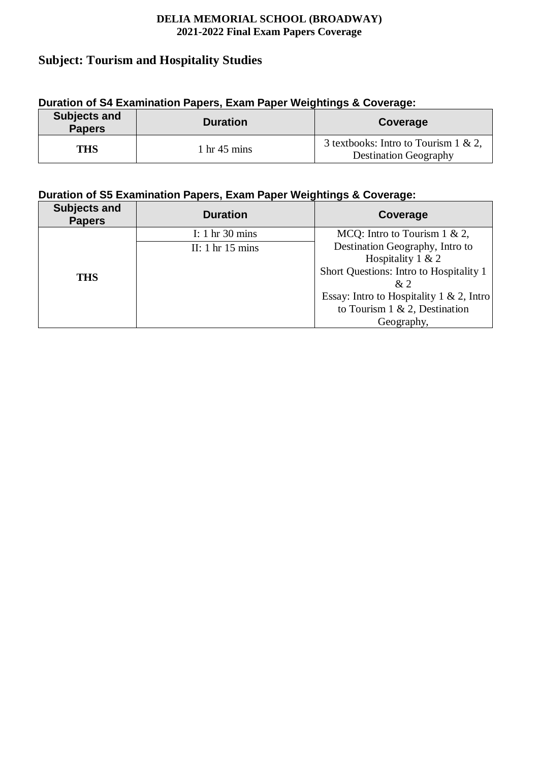## <span id="page-21-0"></span>**Subject: Tourism and Hospitality Studies**

# **Subjects and Papers Duration Coverage THS** 1 hr 45 mins 3 textbooks: Intro to Tourism 1 & 2,

Destination Geography

| Duration of S4 Examination Papers, Exam Paper Weightings & Coverage: |  |  |
|----------------------------------------------------------------------|--|--|
|                                                                      |  |  |

| Duration of S5 Examination Papers, Exam Paper Weightings & Coverage: |  |
|----------------------------------------------------------------------|--|

| <b>Subjects and</b><br><b>Papers</b> | <b>Duration</b>                                                 | Coverage                                                                                                                                                                                                                                           |
|--------------------------------------|-----------------------------------------------------------------|----------------------------------------------------------------------------------------------------------------------------------------------------------------------------------------------------------------------------------------------------|
| <b>THS</b>                           | I: 1 hr $30 \text{ mins}$<br>II: $1 \text{ hr} 15 \text{ mins}$ | MCQ: Intro to Tourism $1 \& 2$ ,<br>Destination Geography, Intro to<br>Hospitality $1 & 2$<br>Short Questions: Intro to Hospitality 1<br>x <sub>2</sub><br>Essay: Intro to Hospitality 1 & 2, Intro<br>to Tourism 1 & 2, Destination<br>Geography, |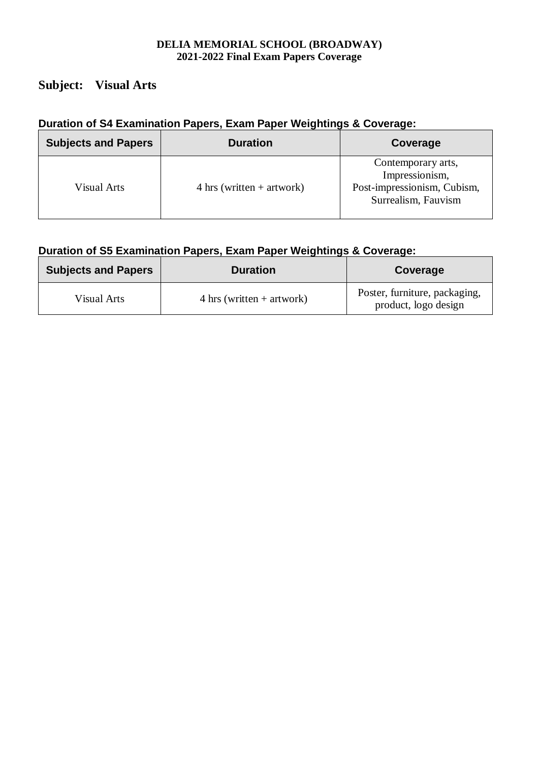# <span id="page-22-0"></span>**Subject: Visual Arts**

# **Duration of S4 Examination Papers, Exam Paper Weightings & Coverage:**

| <b>Subjects and Papers</b> | <b>Duration</b>                     | Coverage                                                                                   |
|----------------------------|-------------------------------------|--------------------------------------------------------------------------------------------|
| Visual Arts                | $4 \text{ hrs}$ (written + artwork) | Contemporary arts,<br>Impressionism,<br>Post-impressionism, Cubism,<br>Surrealism, Fauvism |

| <b>Subjects and Papers</b> | <b>Duration</b>                     | Coverage                                              |
|----------------------------|-------------------------------------|-------------------------------------------------------|
| Visual Arts                | $4 \text{ hrs}$ (written + artwork) | Poster, furniture, packaging,<br>product, logo design |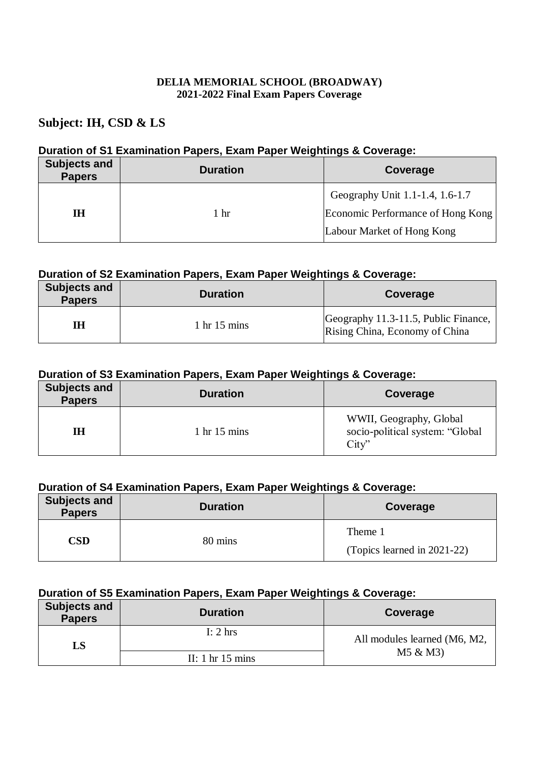## **Subject: IH, CSD & LS**

#### **Duration of S1 Examination Papers, Exam Paper Weightings & Coverage:**

| <b>Subjects and</b><br><b>Papers</b> | <b>Duration</b> | Coverage                          |
|--------------------------------------|-----------------|-----------------------------------|
|                                      |                 | Geography Unit 1.1-1.4, 1.6-1.7   |
| ΙH                                   | 1 hr            | Economic Performance of Hong Kong |
|                                      |                 | Labour Market of Hong Kong        |

#### **Duration of S2 Examination Papers, Exam Paper Weightings & Coverage:**

| <b>Subjects and</b><br><b>Papers</b> | <b>Duration</b>                | Coverage                                                               |
|--------------------------------------|--------------------------------|------------------------------------------------------------------------|
| IH                                   | $1 \text{ hr} 15 \text{ mins}$ | Geography 11.3-11.5, Public Finance,<br>Rising China, Economy of China |

#### **Duration of S3 Examination Papers, Exam Paper Weightings & Coverage:**

| <b>Subjects and</b><br><b>Papers</b> | <b>Duration</b>                | Coverage                                                           |
|--------------------------------------|--------------------------------|--------------------------------------------------------------------|
| IH                                   | $1 \text{ hr} 15 \text{ mins}$ | WWII, Geography, Global<br>socio-political system: "Global<br>Citv |

#### **Duration of S4 Examination Papers, Exam Paper Weightings & Coverage:**

| <b>Subjects and</b><br><b>Papers</b> | <b>Duration</b> | Coverage                               |
|--------------------------------------|-----------------|----------------------------------------|
| CSD                                  | 80 mins         | Theme 1<br>(Topics learned in 2021-22) |

| <b>Subjects and</b><br><b>Papers</b> | <b>Duration</b>                    | Coverage                     |
|--------------------------------------|------------------------------------|------------------------------|
| LS                                   | I: $2 \text{ hrs}$                 | All modules learned (M6, M2, |
|                                      | II: $1 \text{ hr} 15 \text{ mins}$ | M5 & M3                      |